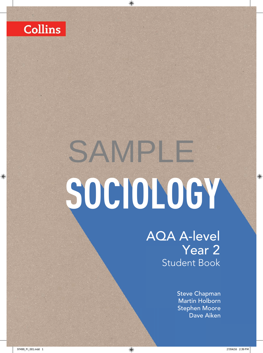

# **SOCIOLOGY** SAMPLE

AQA A-level Year 2 Student Book

> Steve Chapman Martin Holborn Stephen Moore Dave Aiken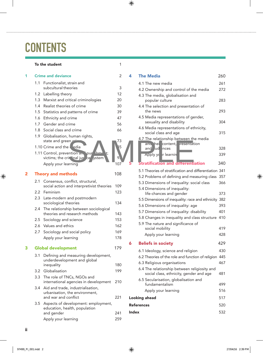### **CONTENTS**

#### To the student 1

| 1 |                           | <b>Crime and deviance</b>                                              |     |  |  |
|---|---------------------------|------------------------------------------------------------------------|-----|--|--|
|   | 1.1                       | Functionalist, strain and                                              |     |  |  |
|   |                           | subcultural theories                                                   | 3   |  |  |
|   | $1.2^{\circ}$             | Labelling theory                                                       | 12  |  |  |
|   |                           | 1.3 Marxist and critical criminologies                                 | 20  |  |  |
|   |                           | 1.4 Realist theories of crime                                          | 30  |  |  |
|   | 1.5                       | Statistics and patterns of crime                                       | 39  |  |  |
|   |                           | 1.6 Ethnicity and crime                                                | 47  |  |  |
|   |                           | 1.7 Gender and crime                                                   | 56  |  |  |
|   | 1.8                       | Social class and crime                                                 | 66  |  |  |
|   |                           | 1.9 Globalisation, human rights,                                       |     |  |  |
|   |                           | state and green                                                        | 73  |  |  |
|   |                           | 1.10 Crime and the ledia                                               | 5   |  |  |
|   |                           | <u>  L</u><br>1.11 Control, prevention and pur<br>t;                   |     |  |  |
|   |                           | victims; the crine hal just<br>ystem<br>ce,                            | 9,  |  |  |
|   |                           | Apply your learning                                                    | 107 |  |  |
| 2 |                           | <b>Theory and methods</b>                                              | 108 |  |  |
|   | 2.1                       | Consensus, conflict, structural,                                       |     |  |  |
|   |                           | social action and interpretivist theories                              | 109 |  |  |
|   |                           | 2.2 Feminism                                                           | 123 |  |  |
|   |                           | 2.3 Late-modern and postmodern<br>sociological theories                | 134 |  |  |
|   | 2.4                       | The relationship between sociological<br>theories and research methods | 143 |  |  |
|   |                           | 2.5 Sociology and science                                              | 153 |  |  |
|   |                           | 2.6 Values and ethics                                                  | 162 |  |  |
|   | 2.7                       | Sociology and social policy                                            | 169 |  |  |
|   |                           | Apply your learning                                                    | 178 |  |  |
| 3 | <b>Global development</b> |                                                                        |     |  |  |
|   | 3.1                       | Defining and measuring development,                                    |     |  |  |
|   |                           | underdevelopment and global                                            |     |  |  |
|   |                           | inequality                                                             | 180 |  |  |
|   | 3.2                       | Globalisation                                                          | 199 |  |  |
|   | 3.3                       | The role of TNCs, NGOs and<br>international agencies in development    | 210 |  |  |
|   | 3.4                       | Aid and trade, industrialisation,                                      |     |  |  |
|   |                           | urbanisation, the environment,<br>and war and conflict                 | 221 |  |  |
|   | 3.5                       | Aspects of development: employment,                                    |     |  |  |
|   |                           | education, health, population                                          |     |  |  |
|   |                           | and gender                                                             | 241 |  |  |
|   |                           | Apply your learning                                                    | 259 |  |  |
|   |                           |                                                                        |     |  |  |

| ce                                                                                            | 2                     | 4            | <b>The Media</b>                                                                                                  | 260               |
|-----------------------------------------------------------------------------------------------|-----------------------|--------------|-------------------------------------------------------------------------------------------------------------------|-------------------|
| strain and                                                                                    |                       |              | 4.1 The new media                                                                                                 | 261               |
| eories                                                                                        | 3                     |              | 4.2 Ownership and control of the media                                                                            | 272               |
| pry                                                                                           | 12                    |              | 4.3 The media, globalisation and                                                                                  |                   |
| itical criminologies                                                                          | 20                    |              | popular culture                                                                                                   | 283               |
| es of crime                                                                                   | 30                    |              | 4.4 The selection and presentation of                                                                             |                   |
| patterns of crime                                                                             | 39                    |              | the news                                                                                                          | 293               |
| crime                                                                                         | 47                    |              | 4.5 Media representations of gender,                                                                              | 304               |
| rime                                                                                          | 56                    |              | sexuality and disability                                                                                          |                   |
| ıd crime                                                                                      | 66                    |              | 4.6 Media representations of ethnicity,<br>social class and age                                                   | 315               |
| human rights,                                                                                 |                       |              | 4.7 The relationship between the media                                                                            |                   |
| en<br>adia<br>10 <sub>m</sub><br>ention and pur<br>t;<br>in hal jus ce ystem<br>$\frac{1}{2}$ | 73<br>15<br>9.<br>107 |              | and hei content,<br>resentation<br>and ud nces<br>Apply your learnin<br><b>Stratification and differentiation</b> | 328<br>339<br>340 |
|                                                                                               | 108                   |              | 5.1 Theories of stratification and differentiation 341                                                            |                   |
| hods                                                                                          |                       |              | 5.2 Problems of defining and measuring class 357                                                                  |                   |
| onflict, structural,                                                                          |                       |              | 5.3 Dimensions of inequality: social class                                                                        | 366               |
| nd interpretivist theories                                                                    | 109                   |              | 5.4 Dimensions of inequality:                                                                                     |                   |
|                                                                                               | 123                   |              | life-chances and gender                                                                                           | 373               |
| and postmodern<br>าeories                                                                     | 134                   |              | 5.5 Dimensions of inequality: race and ethnicity 382                                                              |                   |
| ip between sociological                                                                       |                       |              | 5.6 Dimensions of inequality: age                                                                                 | 393               |
| esearch methods                                                                               | 143                   |              | 5.7 Dimensions of inequality: disability                                                                          | 401               |
| science                                                                                       | 153                   |              | 5.8 Changes in inequality and class structure 410                                                                 |                   |
| าics                                                                                          | 162                   |              | 5.9 The nature and significance of                                                                                |                   |
| social policy                                                                                 | 169                   |              | social mobility                                                                                                   | 419               |
| arning                                                                                        | 178                   |              | Apply your learning                                                                                               | 428               |
|                                                                                               | 179                   | 6            | <b>Beliefs in society</b>                                                                                         | 429               |
| nent                                                                                          |                       |              | 6.1 Ideology, science and religion                                                                                | 430               |
| measuring development,                                                                        |                       |              | 6.2 Theories of the role and function of religion 445                                                             |                   |
| ment and global                                                                               | 180                   |              | 6.3 Religious organisations                                                                                       | 467               |
|                                                                                               | 199                   |              | 6.4 The relationship between religiosity and<br>social class, ethnicity, gender and age                           | 481               |
| <b>JCs, NGOs and</b>                                                                          |                       |              | 6.5 Secularisation, globalisation and                                                                             |                   |
| gencies in development                                                                        | 210                   |              | fundamentalism                                                                                                    | 499               |
| , industrialisation,<br>the environment,                                                      |                       |              | Apply your learning                                                                                               | 516               |
| :onflict                                                                                      | 221                   |              | <b>Looking ahead</b>                                                                                              | 517               |
| velopment: employment,<br>alth, population                                                    |                       |              | <b>References</b>                                                                                                 | 520               |
|                                                                                               | 241                   | <b>Index</b> |                                                                                                                   | 532               |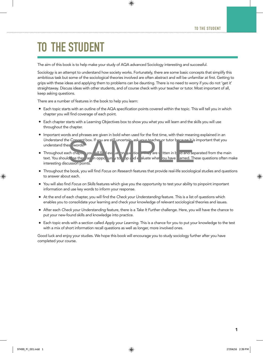## TO THE STUDENT

The aim of this book is to help make your study of AQA advanced Sociology interesting and successful.

Sociology is an attempt to understand how society works. Fortunately, there are some basic concepts that simplify this ambitious task but some of the sociological theories involved are often abstract and will be unfamiliar at first. Getting to grips with these ideas and applying them to problems can be daunting. There is no need to worry if you do not 'get it' straightaway. Discuss ideas with other students, and of course check with your teacher or tutor. Most important of all, keep asking questions.

There are a number of features in the book to help you learn:

- Each topic starts with an outline of the AQA specification points covered within the topic. This will tell you in which chapter you will find coverage of each point.
- Each chapter starts with a Learning Objectives box to show you what you will learn and the skills you will use throughout the chapter.
- Important words and phrases are given in bold when used for the first time, with their meaning explained in an *Understand the Competitions*. If you are still uncertain, ask your teacher or tutor because it is important that you understand thes words.
- Throughout each chapter you will find evaluation and tions. They are value it ten in bold and separated from the main text. You should be then as in opper unit of the specified aluate what could are are are questions oft tung to  $x$  spotted  $e$  aluate what you have learned. These questions often make interesting discussion points. Se words.<br>
Sa words.<br>
Sa words.<br>
Sa words.<br>
Sa words.<br>
Sa words.<br>
Sa words.<br>
Sa words.<br>
Sa words.<br>
Sa words.<br>
Sa words.<br>
Sa words.<br>
They are itten in b a and separation points.<br>
They are itten in b a and separation points.
- Throughout the book, you will find *Focus on Research* features that provide real-life sociological studies and questions to answer about each.
- You will also find *Focus on Skills* features which give you the opportunity to test your ability to pinpoint important information and use key words to inform your response.
- At the end of each chapter, you will find the *Check your Understanding* feature. This is a list of questions which enables you to consolidate your learning and check your knowledge of relevant sociological theories and issues.
- • After each *Check your Understanding* feature, there is a *Take It Further* challenge. Here, you will have the chance to put your new-found skills and knowledge into practice.
- • Each topic ends with a section called *Apply your Learning*. This is a chance for you to put your knowledge to the test with a mix of short information recall questions as well as longer, more involved ones.

Good luck and enjoy your studies. We hope this book will encourage you to study sociology further after you have completed your course.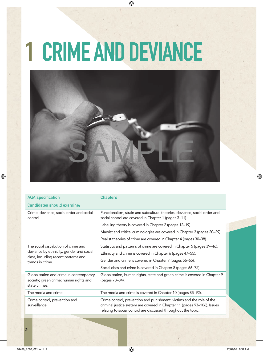## 1 CRIME AND DEVIANCE



| <b>AQA</b> specification                                                                           | <b>Chapters</b>                                                                                                                                                                                                     |  |
|----------------------------------------------------------------------------------------------------|---------------------------------------------------------------------------------------------------------------------------------------------------------------------------------------------------------------------|--|
| Candidates should examine:                                                                         |                                                                                                                                                                                                                     |  |
| Crime, deviance, social order and social<br>control.                                               | Functionalism, strain and subcultural theories, deviance, social order and<br>social control are covered in Chapter 1 (pages 3-11).                                                                                 |  |
|                                                                                                    | Labelling theory is covered in Chapter 2 (pages 12-19).                                                                                                                                                             |  |
|                                                                                                    | Marxist and critical criminologies are covered in Chapter 3 (pages 20–29).                                                                                                                                          |  |
|                                                                                                    | Realist theories of crime are covered in Chapter 4 (pages 30–38).                                                                                                                                                   |  |
| The social distribution of crime and                                                               | Statistics and patterns of crime are covered in Chapter 5 (pages 39–46).                                                                                                                                            |  |
| deviance by ethnicity, gender and social                                                           | Ethnicity and crime is covered in Chapter 6 (pages 47-55).                                                                                                                                                          |  |
| class, including recent patterns and<br>trends in crime.                                           | Gender and crime is covered in Chapter 7 (pages 56–65).                                                                                                                                                             |  |
|                                                                                                    | Social class and crime is covered in Chapter 8 (pages 66–72).                                                                                                                                                       |  |
| Globalisation and crime in contemporary<br>society; green crime; human rights and<br>state crimes. | Globalisation, human rights, state and green crime is covered in Chapter 9<br>(pages 73–84).                                                                                                                        |  |
| The media and crime.                                                                               | The media and crime is covered in Chapter 10 (pages 85-92).                                                                                                                                                         |  |
| Crime control, prevention and<br>surveillance.                                                     | Crime control, prevention and punishment, victims and the role of the<br>criminal justice system are covered in Chapter 11 (pages 93-106). Issues<br>relating to social control are discussed throughout the topic. |  |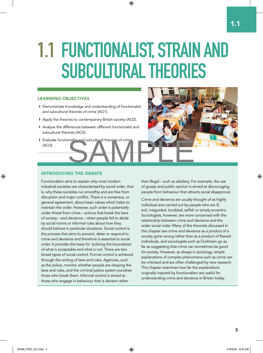## 1.1 FUNCTIONALIST, STRAIN AND SUBCULTURAL THEORIES

#### LEARNING OBJECTIVES

- › Demonstrate knowledge and understanding of functionalist and subcultural theories of crime (AO1).
- › Apply the theories to contemporary British society (AO2).
- › Analyse the differences between different functionalist and subcultural theories (AO3).
- > Evaluate functionalistic and subcultural theories of crime (AO3).



#### INTRODUCING THE DEBATE

Functionalism aims to explain why most modern industrial societies are characterised by social order: that is, why these societies run smoothly and are free from disruption and major conflict. There is a consensus, or general agreement, about basic values which helps to maintain the order. However, such order is potentially under threat from crime – actions that break the laws of society – and deviance – when people fail to abide by social norms or informal rules about how they should behave in particular situations. Social control is the process that aims to prevent, deter or respond to crime and deviance and therefore is essential to social order. It provides the basis for 'policing the boundaries' of what is acceptable and what is not. There are two broad types of social control. Formal control is achieved through the writing of laws and rules. Agencies, such as the police, monitor whether people are obeying the laws and rules, and the criminal justice system punishes those who break them. Informal control is aimed at those who engage in behaviour that is deviant rather

than illegal – such as adultery. For example, the use of gossip and public opinion is aimed at discouraging people from behaviour that attracts social disapproval.

Crime and deviance are usually thought of as highly individual acts carried out by people who are ill, evil, misquided, troubled, selfish or simply eccentric. Sociologists, however, are more concerned with the relationship between crime and deviance and the wider social order. Many of the theorists discussed in this chapter see crime and deviance as a product of a society gone wrong rather than as a product of flawed individuals, and sociologists such as Durkheim go as far as suggesting that crime can sometimes be good for society. However, as always in sociology, simple explanations of complex phenomena such as crime can be criticised and are often challenged by new research. This chapter examines how far the explanations originally inspired by functionalism are useful for understanding crime and deviance in Britain today.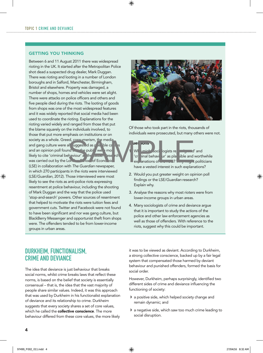#### GETTING YOU THINKING

Between 6 and 11 August 2011 there was widespread rioting in the UK. It started after the Metropolitan Police shot dead a suspected drug dealer, Mark Duggan. There was rioting and looting in a number of London boroughs and in Salford, Manchester, Birmingham, Bristol and elsewhere. Property was damaged, a number of shops, homes and vehicles were set alight. There were attacks on police officers and others and five people died during the riots. The looting of goods from shops was one of the most widespread features and it was widely reported that social media had been used to coordinate the rioting. Explanations for the rioting varied widely and ranged from those that put the blame squarely on the individuals involved, to those that put more emphasis on institutions or on society as a whole. Greed, communism, the media and gang culture were all  $\left| \right|$  uggested as possible causes and an opinion poll found  $t_{\rm max}$  the public were most likely to cite 'criminal behaviour' a the cause. Tese rch was carried out by the London School of Economic (LSE) in collaboration with *The Guardian* newspaper, in which 270 participants in the riots were interviewed (LSE/*Guardian*, 2012). Those interviewed were most likely to see the riots as anti-police riots expressing resentment at police behaviour, including the shooting of Mark Duggan and the way that the police used 'stop-and-search' powers. Other sources of resentment that helped to motivate the riots were tuition fees and government cuts. Twitter and Facebook were not found to have been significant and nor was gang culture, but BlackBerry Messenger and opportunist theft from shops were. The offenders tended to be from lower-income groups in urban areas. and the strengthening the median policies of the strengthening of the strengthening of the strengthening of the strengthening of the strengthening of the strengthening of the strengthening of the strengthening of the stren



Of those who took part in the riots, thousands of individuals were prosecuted, but many others were not.



Why might sociologists rejone we d'and 'criminal behaviour' as place ible and worthwhile explanations of the new? Why might politicians have a vested interest in such explanations?

- 2. Would you put greater weight on opinion poll findings or the LSE/*Guardian* research? Explain why.
- 3. Analyse the reasons why most rioters were from lower-income groups in urban areas.
- 4. Many sociologists of crime and deviance argue that it is important to study the actions of the police and other law enforcement agencies as well as those of offenders. With reference to the riots, suggest why this could be important.

#### DURKHEIM, FUNCTIONALISM, CRIME AND DEVIANCE

The idea that deviance is just behaviour that breaks social norms, whilst crime breaks laws that reflect these norms, is based on the belief that society is essentially consensual – that is, the idea that the vast majority of people share similar values. Indeed, it was this approach that was used by Durkheim in his functionalist explanation of deviance and its relationship to crime. Durkheim suggests that every society shares a set of core values, which he called the **collective conscience**. The more behaviour differed from these core values, the more likely

it was to be viewed as deviant. According to Durkheim, a strong collective conscience, backed up by a fair legal system that compensated those harmed by deviant behaviour and punished offenders, formed the basis for social order.

However, Durkheim, perhaps surprisingly, identified two different sides of crime and deviance influencing the functioning of society:

- › a positive side, which helped society change and remain dynamic; and
- › a negative side, which saw too much crime leading to social disruption.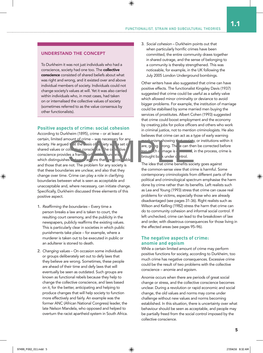#### UNDERSTAND THE CONCEPT

To Durkheim it was not just individuals who had a conscience, society had one too. The collective conscience consisted of shared beliefs about what was right and wrong, and it existed over and above individual members of society. Individuals could not change society's values at will. Yet it was also carried within individuals who, in most cases, had taken on or internalised the collective values of society (sometimes referred to as the value consensus by other functionalists).

#### **Positive aspects of crime: social cohesion**

According to Durkheim (1895), crime – or at least a certain, limited amount of crime - was necessary for any society. He argued  $t$  at the asis of  $s$  riety we are to shared values or collective conscience. The collective conscience provides a frame york, with bundaries, which distinguishes  $\mathbf{b}$  tween actions that are coeptable and those that are not. The problem for any society is that these boundaries are unclear, and also that they change over time. Crime can play a role in clarifying boundaries between what is seen as acceptable and unacceptable and, where necessary, can initiate change. Specifically, Durkheim discussed three elements of this positive aspect. S<br>
SAMPLE THE PRESERVED OF SAMPLE THE CHANGE OF SAMPLE THE CHANGE OF SAMPLE THE CHANGE OF SAMPLE THE CHANGE OF SAMPLE THE CHANGE OF SAMPLE THE CHANGE OF SAMPLE THE CHANGE OF SAMPLE THE CHANGE OF SAMPLE THE CHANGE OF SAMPLE

- 1. *Reafrming the boundaries* Every time a person breaks a law and is taken to court, the resulting court ceremony, and the publicity in the newspapers, publicly reaffirms the existing values. This is particularly clear in societies in which public punishments take place – for example, where a murderer is taken out to be executed in public or an adulterer is stoned to death.
- 2. *Changing values* On occasion some individuals or groups deliberately set out to defy laws that they believe are wrong. Sometimes, these people are ahead of their time and defy laws that will eventually be seen as outdated. Such groups are known as functional rebels because they help to change the collective conscience, and laws based on it, for the better, anticipating and helping to produce changes that will help society to function more effectively and fairly. An example was the former ANC (African National Congress) leader, the late Nelson Mandela, who opposed and helped to overturn the racist apartheid system in South Africa.

3. *Social cohesion* – Durkheim points out that when particularly horrific crimes have been committed, the entire community draws together in shared outrage, and the sense of belonging to a community is thereby strengthened. This was noticeable, for example, in the UK following the July 2005 London Underground bombings.

Other writers have also suggested that crime can have positive effects. The functionalist Kingsley Davis (1937) suggested that crime could be useful as a safety valve which allowed minor criminality or deviance to avoid bigger problems. For example, the institution of marriage could be stabilised by some married men buying the services of prostitutes. Albert Cohen (1993) suggested that crime could boost employment and the economy by creating jobs for police officers and others who work in criminal justice, not to mention criminologists. He also believes that crime can act as a type of early warning



 $\blacksquare$  mism showing that society, or institutions within it are, going rong. The e can then be corrected before  $\alpha$ ch damage is damage is done and, in the process, crime is

The idea that crime benefits society goes against the common-sense view that crime is harmful. Some contemporary criminologists from different parts of the political and criminological spectrum emphasise the harm done by crime rather than its benefits. Left realists such as Lea and Young (1993) stress that crime can cause real problems for victims, especially those who are already disadvantaged (see pages 31-36). Right realists such as Wilson and Kelling (1982) stress the harm that crime can do to community cohesion and informal social control. If left unchecked, crime can lead to the breakdown of law and order, with disastrous consequences for those living in the affected areas (see pages 95–96).

#### **The negative aspects of crime: anomie and egoism**

While a certain limited amount of crime may perform positive functions for society, according to Durkheim, too much crime has negative consequences. Excessive crime could be the result of two problems with the collective conscience – anomie and egoism.

Anomie occurs when there are periods of great social change or stress, and the collective conscience becomes unclear. During a revolution or rapid economic and social change, the old values and norms may come under challenge without new values and norms becoming established. In this situation, there is uncertainty over what behaviour should be seen as acceptable, and people may be partially freed from the social control imposed by the collective conscience.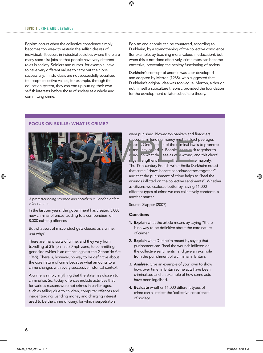Egoism occurs when the collective conscience simply becomes too weak to restrain the selfish desires of individuals. It occurs in industrial societies where there are many specialist jobs so that people have very different roles in society. Soldiers and nurses, for example, have to have very different values to carry out their jobs successfully. If individuals are not successfully socialised to accept collective values, for example, through the education system, they can end up putting their own selfish interests before those of society as a whole and committing crime.

Egoism and anomie can be countered, according to Durkheim, by a strengthening of the collective conscience (for example, by teaching moral values in education): but when this is not done effectively, crime rates can become excessive, preventing the healthy functioning of society.

Durkheim's concept of anomie was later developed and adapted by Merton (1938), who suggested that Durkheim's original idea was too vague. Merton, although not himself a subculture theorist, provided the foundation for the development of later subculture theory.

#### FOCUS ON SKILLS: WHAT IS CRIME?



*A protester being stopped and searched in London before a G8 summit*

In the last ten years, the government has created 3,000 new criminal offences, adding to a compendium of 8,000 existing offences.

But what sort of misconduct gets classed as a crime, and why?

There are many sorts of crime, and they vary from travelling at 31mph in a 30mph zone, to committing genocide (which is an offence against the Genocide Act 1969). There is, however, no way to be definitive about the core nature of crime because what amounts to a crime changes with every successive historical context.

A crime is simply anything that the state has chosen to criminalise. So, today, offences include activities that for various reasons were not crimes in earlier ages, such as selling glue to children, computer offences and insider trading. Lending money and charging interest used to be the crime of usury, for which perpetrators

were punished. Nowadays bankers and financiers

successful in lending money might attract peerages

tead. One in of the carrieral law is to promote mmunity collection. People condemn what the see as very wrong, and this choral  $\frac{1}{2}$  range strengthens the total the total to the majority.

The 19th-century French writer Emile Durkheim noted that crime "draws honest consciousnesses together" and that the punishment of crime helps to "heal the wounds inflicted on the collective sentiments". Whether as citizens we coalesce better by having 11,000 different types of crime we can collectively condemn is another matter.

Source: Slapper (2007)

#### **Questions**

- 1. Explain what the article means by saying "there is no way to be definitive about the core nature of crime".
- 2. Explain what Durkheim meant by saying that punishment can "heal the wounds inflicted on the collective sentiments" and give an example from the punishment of a criminal in Britain.
- 3. Analyse. Give an example of your own to show how, over time, in Britain some acts have been criminalised and an example of how some acts have been legalised.
- 4. Evaluate whether 11,000 different types of crime can all reflect the 'collective conscience' of society.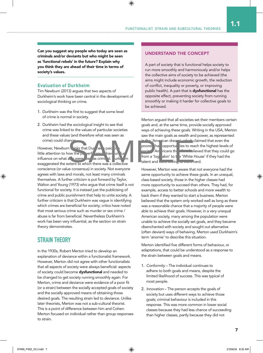Can you suggest any people who today are seen as criminals and/or deviants but who might be seen as 'functional rebels' in the future? Explain why you think they are ahead of their time in terms of society's values.

#### **Evaluation of Durkheim**

Tim Newburn (2013) argues that two aspects of Durkheim's work have been central in the development of sociological thinking on crime.

- 1. Durkheim was the first to suggest that some level of crime is normal in society.
- 2. Durkheim had the sociological insight to see that crime was linked to the values of particular societies and these values (and therefore what was seen as crime) could change

However, Newburn thinks that Durkheim paid little attention to how the powerful could have under influence on what acts were seen as criminal. Turk exaggerated the extent to which there was a collective conscience (or value consensus) in society. Not everyone agrees with laws and morals, not least many criminals themselves. A further criticism is put forward by Taylor, Walton and Young (1973) who argue that crime itself is not functional for society. It is instead just the publicising of crime and public punishment that help to unite society. A further criticism is that Durkheim was vague in identifying which crimes are beneficial for society; critics have noted that most serious crime such as murder or sex crime / abuse is far from beneficial. Nevertheless Durkheim's work has been very influential, as the section on strain theory demonstrates. and the set of the transit of the pair of the pair of the pair of the pair of the pair of the pair of the pair of the pair of the pair of the pair of the pair of the pair of the pair of the pair of the pair of the pair of

#### STRAIN THEORY

In the 1930s, Robert Merton tried to develop an explanation of deviance within a functionalist framework. However, Merton did not agree with other functionalists that all aspects of society were always beneficial: aspects of society could become dysfunctional and needed to be changed to get society running smoothly again. For Merton, crime and deviance were evidence of a poor fit (or a strain) between the socially accepted goals of society and the socially approved means of obtaining those desired goals. The resulting strain led to deviance. Unlike later theorists, Merton was not a sub-cultural theorist. This is a point of difference between him and Cohen: Merton focused on individual rather than group responses to strain.

#### UNDERSTAND THE CONCEPT

A part of society that is functional helps society to run more smoothly and harmoniously and/or helps the collective aims of society to be achieved (the aims might include economic growth, the reduction of conflict, inequality or poverty, or improving public health). A part that is **dysfunctional** has the opposite effect, preventing society from running smoothly or making it harder for collective goals to be achieved.

Merton argued that all societies set their members certain goals and, at the same time, provide socially approved ways of achieving these goals. Writing in the USA, Merton saw the main goals as wealth and power, as represented



**in 'American dream', which claimed that even the** poores ha opporture ies to reach the highest levels of  $\lambda$ . An ericans the cross believed that they could go from a 'log abin' to t  $\Rightarrow$  'White House' if they had the talent and were willing to work hard.

However, Merton was aware that not everyone had the same opportunity to achieve these goals. In an unequal, class-based society, those in the higher classes had more opportunity to succeed than others. They had, for example, access to better schools and more wealth to back them if they wanted to start a business. Merton believed that the system only worked well as long as there was a reasonable chance that a majority of people were able to achieve their goals. However, in a very unequal American society, many among the population were unable to achieve the socially set goals, and they became disenchanted with society and sought out alternative (often deviant) ways of behaving. Merton used Durkheim's term 'anomie' to describe this situation.

Merton identified five different forms of behaviour, or adaptations, that could be understood as a response to the strain between goals and means.

- 1. *Conformity* The individual continues to adhere to both goals and means, despite the limited likelihood of success. This was typical of most people.
- 2. *Innovation* The person accepts the goals of society but uses different ways to achieve those goals; criminal behaviour is included in this response. This was more common in lower social classes because they had less chance of succeeding than higher classes, partly because they did not

1.1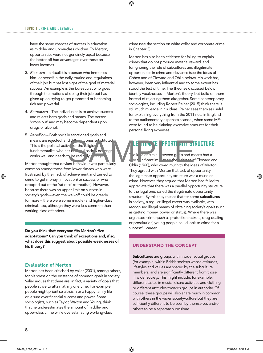have the same chances of success in education as middle- and upper-class children. To Merton, opportunities were not genuinely equal because the better-off had advantages over those on lower incomes.

- 3. *Ritualism* a ritualist is a person who immerses him- or herself in the daily routine and regulations of their job but has lost sight of the goal of material success. An example is the bureaucrat who goes through the motions of doing their job but has given up on trying to get promoted or becoming rich and powerful.
- 4. *Retreatism* The individual fails to achieve success and rejects both goals and means. The person 'drops out' and may become dependent upon drugs or alcohol.
- 5. *Rebellion* Both socially sanctioned goals and means are rejected, and different ones substituted This is the political activist or the religious fundamentalist, who has decided society no longer works well and needs to be radically changed. Solen the religion of the structure of the selection of the selection of the selection of the selection of the selection of the strength of the strength of the strength of the strength of the strength of the strength of th

Merton thought that deviant behaviour was particularly common among those from lower classes who were frustrated by their lack of achievement and turned to crime to get money (innovation) or success or who dropped out of the 'rat race' (retreatists). However, because there was no upper limit on success in society's goals – even the well-off could be greedy for more – there were some middle- and higher-class criminals too, although they were less common than working-class offenders.

Do you think that everyone fits Merton's five adaptations? Can you think of exceptions and, if so, what does this suggest about possible weaknesses of his theory?

#### **Evaluation of Merton**

Merton has been criticised by Valier (2001), among others, for his stress on the existence of common goals in society. Valier argues that there are, in fact, a variety of goals that people strive to attain at any one time. For example, people might prioritise altruism or a happy family life or leisure over financial success and power. Some sociologists, such as Taylor, Walton and Young, think that he underestimates the amount of middle- and upper-class crime while overestimating working-class

crime (see the section on white collar and corporate crime in Chapter 3).

Merton has also been criticised for failing to explain crimes that do not produce material reward, and for ignoring the role of subcultures and illegitimate opportunities in crime and deviance (see the ideas of Cohen and of Cloward and Ohlin below). His work has, however, been very influential and to some extent has stood the test of time. The theories discussed below identify weaknesses in Merton's theory, but build on them instead of rejecting them altogether. Some contemporary sociologists, including Robert Reiner (2015) think there is still much mileage in his ideas. Reiner sees them as useful for explaining everything from the 2011 riots in England to the parliamentary expenses scandal, when some MPs were found to be claiming excessive amounts for their personal living expenses.

#### E TIMATE PPORTUNITY STRUCTURE

e idea of strain between goals and means had a  $v<sub>x</sub>$  is nificant impact on the writings of Cloward and

Ohlin (1960), who owed much to the ideas of Merton. They agreed with Merton that lack of opportunity in the legitimate opportunity structure was a cause of crime. However, they argued that Merton had failed to appreciate that there was a parallel opportunity structure to the legal one, called the illegitimate opportunity structure. By this they meant that for some subcultures in society, a regular illegal career was available, with recognised illegal means of obtaining society's goals (such as getting money, power or status). Where there was organised crime (such as protection rackets, drug dealing or prostitution) young people could look to crime for a successful career.

#### UNDERSTAND THE CONCEPT

Subcultures are groups within wider social groups (for example, within British society) whose attitudes, lifestyles and values are shared by the subculture members, and are significantly different from those in wider society. This might include, for example, different tastes in music, leisure activities and clothing or different attitudes towards groups in authority. Of course, these groups will also share much in common with others in the wider society/culture but they are sufficiently different to be seen by themselves and/or others to be a separate subculture.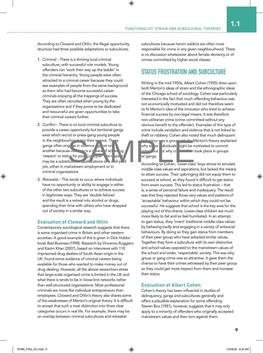According to Cloward and Ohlin, the illegal opportunity structure had three possible adaptations or subcultures.

- 1. *Criminal* There is a thriving local criminal subculture, with successful role models. Young offenders can 'work their way up the ladder' in the criminal hierarchy. Young people were often attracted to a criminal career because they could see examples of people from the same background as them who had become successful career criminals enjoying all the trappings of success. They are often recruited when young by the organisations and if they prove to be dedicated and resourceful are given opportunities to take their criminal careers further.
- 2. *Conict* There is no local criminal subculture to provide a career opportunity but territorial gangs exist which recruit or press-gang young people in the neighbourhout to their service. The gangs often engage in violence gainst on another because violence is a means of achieving 'respect' or status for young people. This respect may be a substitute  $f(x) = \frac{1}{2}$  qualifications or a well-paid job, either in mainstream employment or in criminal organisations. The service. The service of their spin to their spin to their spin to the spin to the spin to the spin to the spin to the spin to the spin to the spin to the spin to the spin to the spin to the spin to the spin to the spin
- 3. *Retreatist* This tends to occur where individuals have no opportunity or ability to engage in either of the other two subcultures or to achieve success in legitimate ways. They are 'double failures' and the result is a retreat into alcohol or drugs, spending their time with others who have dropped out of society in a similar way.

#### **Evaluation of Cloward and Ohlin**

Contemporary sociological research suggests that there is some organised crime in Britain and other western societies. A good example of this is given in Dick Hobbs' book *Bad Business* (1998). Research by Vincenzo Ruggiero and Kazim Khan (2007), based on interviews with 110 imprisoned drug dealers of South Asian origin in the UK, found some evidence of criminal careers being available for those who wanted to make money out of drug dealing. However, all the above researchers stress that large-scale organised crime is limited in the UK and what there is tends to be in loose-knit networks rather than well-structured organisations. Most professional criminals are more like individual entrepreneurs than employees. Cloward and Ohlin's theory also shares some of the weaknesses of Merton's original theory. It is difficult to accept that such a neat distinction into three clear categories occurs in real life. For example, there may be an overlap between criminal subcultures and retreatist

subcultures because heroin addicts are often most responsible for crime in any given neighbourhood. There is no discussion whatsoever about female deviancy or of crimes committed by higher social classes.

#### STATUS FRUSTRATION AND SUBCULTURE

Writing in the mid-1950s, Albert Cohen (1955) drew upon both Merton's ideas of strain and the ethnographic ideas of the Chicago school of sociology. Cohen was particularly interested in the fact that much offending behaviour was not economically motivated and did not therefore seem to fit Merton's idea of the innovator who tried to achieve financial success by non-legal means. It was therefore non-utilitarian crime (crime committed without any obvious benefit to the offender). Examples of this type of crime include vandalism and violence that is not linked to theft or robbery. Cohen also noted that much delinquent

or gangs.

**behaviour was a group and in the Merton's theory explained** why some dividuals sight be motivated to commit  $\frac{1}{2}$  but not why crimes of the took place in groups

According to Cohen, 'lower-class' boys strove to emulate middle-class values and aspirations, but lacked the means to attain success. Their upbringing did not equip them to succeed at school, so they found it difficult to get status from exam success. This led to status frustration – that is, a sense of personal failure and inadequacy. The result was that they rejected those very values and patterns of 'acceptable' behaviour within which they could not be successful. He suggests that school is the key area for the playing out of this drama. Lower-class children are much more likely to fail and so feel humiliated. In an attempt to gain status, they 'invert' traditional middle-class values by behaving badly and engaging in a variety of antisocial behaviours. By doing so they gain status from members of their peer group who have adopted similar values. Together they form a subculture with its own distinctive anti-school values opposed to the mainstream values of the school and wider, 'respectable' society. This was why group or gang crime was so attractive. It gave them the chance to have their crimes witnessed by their peer group so they could get more respect from them and increase their status.

#### **Evaluation of Albert Cohen**

Cohen's theory has been influential in studies of delinquency, gangs and subcultures generally and offers a plausible explanation for some offending. Steven Box (1981), however, suggests that it may only apply to a minority of offenders who originally accepted mainstream values and then turn against them.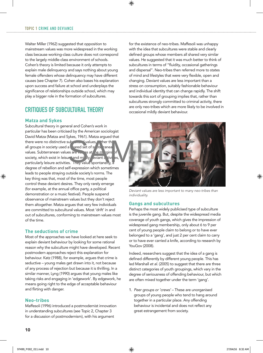Walter Miller (1962) suggested that opposition to mainstream values was more widespread in the working class because working-class culture does not correspond to the largely middle-class environment of schools. Cohen's theory is limited because it only attempts to explain male delinquency and says nothing about young female offenders whose delinquency may have different causes (see Chapter 7). Cohen also bases his explanation upon success and failure at school and underplays the significance of relationships outside school, which may play a bigger role in the formation of subcultures.

#### CRITIQUES OF SUBCULTURAL THEORY

#### **Matza and Sykes**

Subcultural theory in general and Cohen's work in particular has been criticised by the American sociologist David Matza (Matza and Sykes, 1961). Matza argued that there were no distinctive subcultural values, ther the all groups in society used a shared set of subterranean values. Subterranean values are values at the margins of society, which exist in leisure and milly eviant activities particularly leisure activities. They value spontaneity, a degree of rebellion and self-expression which sometimes leads to people straying outside society's norms. The key thing was that, most of the time, most people control these deviant desires. They only rarely emerge (for example, at the annual office party, a political demonstration or a music festival). People suspend observance of mainstream values but they don't reject them altogether. Matza argues that very few individuals are committed to subcultural values. Most 'drift' in and out of subcultures, conforming to mainstream values most of the time.

#### **The seductions of crime**

Most of the approaches we have looked at here seek to explain deviant behaviour by looking for some rational reason why the subculture might have developed. Recent postmodern approaches reject this explanation for behaviour. Katz (1988), for example, argues that crime is seductive – young males get drawn into it, not because of any process of rejection but because it is thrilling. In a similar manner, Lyng (1990) argues that young males like taking risks and engaging in 'edgework'. By edgework, he means going right to the edge of acceptable behaviour and flirting with danger.

#### **Neo-tribes**

Maffesoli (1996) introduced a postmodernist innovation in understanding subcultures (see Topic 2, Chapter 3 for a discussion of postmodernism), with his argument

for the existence of neo-tribes. Maffesoli was unhappy with the idea that subcultures were stable and clearly defined groups whose members all shared very similar values. He suggested that it was much better to think of subcultures in terms of "fluidity, occasional gatherings and dispersal". Neo-tribes then referred more to states of mind and lifestyles that were very flexible, open and changing. Deviant values are less important than a stress on consumption, suitably fashionable behaviour and individual identity that can change rapidly. The shift towards this sort of grouping implies that, rather than subcultures strongly committed to criminal activity, there are only neo-tribes which are more likely to be involved in occasional mildly deviant behaviour.

![](_page_11_Picture_10.jpeg)

*Deviant values are less important to many neo-tribes than individuality.*

#### **Gangs and subcultures**

Perhaps the most widely publicised type of subculture is the juvenile gang. But, despite the widespread media coverage of youth gangs, which gives the impression of widespread gang membership, only about 6 to 9 per cent of young people claim to belong or to have ever belonged to a 'gang', and just 2 per cent claim to carry or to have ever carried a knife, according to research by YouGov (2008).

Indeed, researchers suggest that the idea of a gang is defined differently by different young people. This has led Marshall *et al*. (2005) to suggest that there are three distinct categories of youth groupings, which vary in the degree of seriousness of offending behaviour, but which are often mixed together under the term 'gang'.

1. *Peer groups or 'crews'* – These are unorganised groups of young people who tend to hang around together in a particular place. Any offending behaviour is incidental and does not reflect any great estrangement from society.